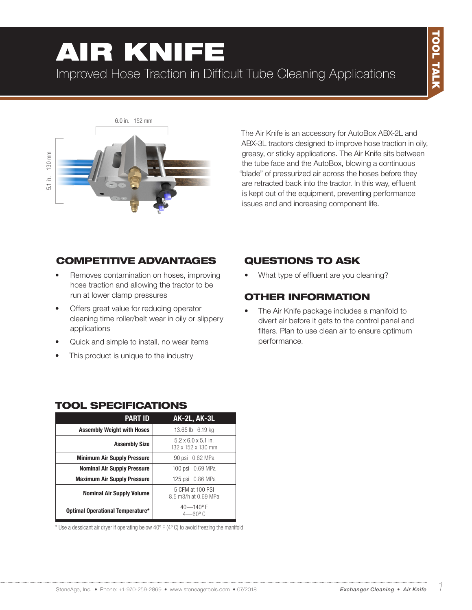# 130 mm 5.1 in. 130 mm 5.1 in.

6.0 in. 152 mm

AIR KNIFE

Improved Hose Traction in Difficult Tube Cleaning Applications

The Air Knife is an accessory for AutoBox ABX-2L and ABX-3L tractors designed to improve hose traction in oily, greasy, or sticky applications. The Air Knife sits between the tube face and the AutoBox, blowing a continuous "blade" of pressurized air across the hoses before they are retracted back into the tractor. In this way, effluent is kept out of the equipment, preventing performance issues and and increasing component life.

#### COMPETITIVE ADVANTAGES

- Removes contamination on hoses, improving hose traction and allowing the tractor to be run at lower clamp pressures
- Offers great value for reducing operator cleaning time roller/belt wear in oily or slippery applications
- Quick and simple to install, no wear items
- This product is unique to the industry

#### QUESTIONS TO ASK

• What type of effluent are you cleaning?

#### OTHER INFORMATION

• The Air Knife package includes a manifold to divert air before it gets to the control panel and filters. Plan to use clean air to ensure optimum performance.

| L JFLVII I                         |                                                       |  |  |
|------------------------------------|-------------------------------------------------------|--|--|
| <b>PART ID</b>                     | AK-2L, AK-3L                                          |  |  |
| <b>Assembly Weight with Hoses</b>  | 13.65 lb 6.19 kg                                      |  |  |
| <b>Assembly Size</b>               | $5.2 \times 6.0 \times 5.1$ in.<br>132 x 152 x 130 mm |  |  |
| <b>Minimum Air Supply Pressure</b> | 90 psi 0.62 MPa                                       |  |  |
| <b>Nominal Air Supply Pressure</b> | 100 psi 0.69 MPa                                      |  |  |
| <b>Maximum Air Supply Pressure</b> | 125 psi 0.86 MPa                                      |  |  |
| <b>Nominal Air Supply Volume</b>   | 5 CFM at 100 PSI<br>8.5 m3/h at 0.69 MPa              |  |  |
| Optimal Operational Temperature*   | $40 - 140$ °F<br>$4 - 60^{\circ}$ C                   |  |  |

**CDEQUEIQATIQNIC** 

 $*$  Use a dessicant air dryer if operating below 40 $\degree$  F (4 $\degree$  C) to avoid freezing the manifold